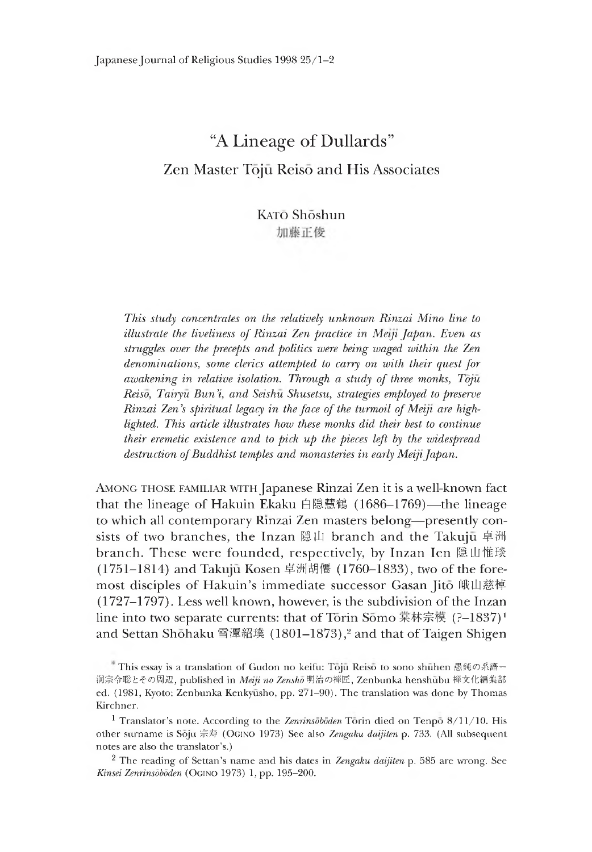# "A Lineage of Dullards" Zen Master Tōjū Reisō and His Associates

# KAT<sub>O</sub> Shoshun 加藤正俊

*This study concentrates on the relatively unknown Rinzai Mino line to illustrate the liveliness of Rinzai Zen practice in Meiji Japan. Even as struggles over the precepts and politics were being waged within the Zen denominations, some clerics attempted to carry on with their quest for awakening in relative isolation. Through a study of three monks, Toju Reiso, Tairyu Bun % and Seishu Shusetsu, strategies employed to preserve Rinzai Zen's spiritual legacy in the face of the turmoil of Meiji are highlighted. This article illustrates how these monks did their best to continue their eremetic existence and to pick up the pieces left by the widespread destruction of Buddhist temples and monasteries in early Meiji Japan.*

Among those familiar with Japanese Rinzai Zen it is a well-known fact that the lineage of Hakuin Ekaku 白隱慧鶴(1686-1769)—the lineage to which all contemporary Rinzai Zen masters belong—presently consists of two branches, the Inzan 隠山 branch and the Takuju 卓洲 branch. These were founded, respectively, by Inzan Ien 隱山惟琰 (1751-1814) and Takuju Kosen 卓洲胡傳(1760-1833),two of the foremost disciples of Hakuin's immediate successor Gasan Jitō 峨山慈棹 (1727-1797). Less well known, however, is the subdivision of the Inzan line into two separate currents: that of Torin Somo 棠林宗模 (?–1837)<sup>1</sup> and Settan Shōhaku 雪潭紹璞 (1801–1873),<sup>2</sup> and that of Taigen Shigen

This essay is a translation of Gudon no keifu: Toju Reiso to sono shuhen 愚鈍の系譜一 洞宗令聡とその周辺, published in *Meiji no Zenshō* 明治の禅匠, Zenbunka henshūbu 禅文化編集部 ed. (1981, Kyoto: Zenbunka Kenkyūsho, pp. 271-90). The translation was done by Thomas Kirchner.

<sup>1</sup> Translator's note. According to the *Zenrinsdbdden* Torin died on Tenpo 8/11/10. His other surname is Soju 宗 寿 (Ogino 1973) See also *Zengaku daijiten* p. 733. (All subsequent notes are also the translator's.)

<sup>&</sup>lt;sup>2</sup> The reading of Settan's name and his dates in *Zengaku daijiten* p. 585 are wrong. See *Kinsei Zenrinsdbdden* (Ogino 1973)1 pp. 195-200.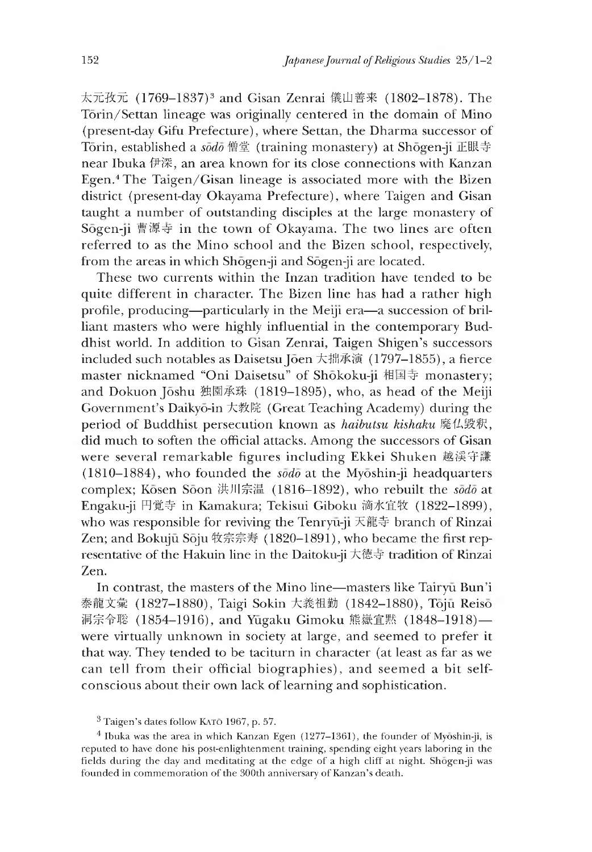太元孜元 (1769-1837)<sup>3</sup> and Gisan Zenrai 儀山善来 (1802-1878). The Tōrin/Settan lineage was originally centered in the domain of Mino (present-day Gifu Prefecture), where Settan, the Dharma successor of Torin, established a *sodo* 僧堂 (training monastery) at Shogen-ji 正眼寺 near Ibuka 伊深, an area known for its close connections with Kanzan Egen.4 The Taigen/Gisan lineage is associated more with the Bizen district (present-day Okayama Prefecture), where Taigen and Gisan taught a number of outstanding disciples at the large monastery of Sogen-ji曹源守 in the town of Okayama. The two lines are often referred to as the Mino school and the Bizen school, respectively, from the areas in which Shogen-ji and Sogen-ji are located.

These two currents within the Inzan tradition have tended to be quite different in character. The Bizen line has had a rather high profile, producing—particularly in the Meiji era—a succession of brilliant masters who were highly influential in the contemporary Buddhist world. In addition to Gisan Zenrai, Taigen Shigen's successors included such notables as Daisetsu Jōen 大拙承演 (1797-1855), a fierce master nicknamed "Oni Daisetsu" of Shōkoku-ji 相国寺 monastery; and Dokuon Joshu 独園承珠 (1819–1895), who, as head of the Meiji Government's Daikyo-in 大孝文院(Great Teaching Academy) during the period of Buddhist persecution known as *haibutsu kishaku* 廃仏毀釈, did much to soften the official attacks. Among the successors of Gisan were several remarkable figures including Ekkei Shuken 越渓守謙 (1810-1884),who founded the *sodo* at the Myoshin-ji headquarters complex; Kōsen Sōon 洪川宗温 (1816-1892), who rebuilt the *sodo* at Engaku-ji 円覚寺 in Kamakura; Tekisui Giboku 滴水宜牧 (1822-1899), who was responsible for reviving the Tenryu-ji 天龍寺 branch of Rinzai Zen; and Bokujū Sōju 牧宗宗寿 (1820-1891), who became the first representative of the Hakuin line in the Daitoku-ji 大徳守 tradition oi Rinzai Zen.

In contrast, the masters of the Mino line—masters like Tairyu Bun'i 泰龍文彙 (1827-1880), Taigi Sokin 大義祖勤 (1842-1880), Toju Reisō 洞宗令聡 (1854-1916), and Yūgaku Gimoku 熊嶽宜黙 (1848-1918) were virtually unknown in society at large, and seemed to prefer it that way. They tended to be taciturn in character (at least as far as we can tell from their official biographies), and seemed a bit selfconscious about their own lack of learning and sophistication.

<sup>&</sup>lt;sup>3</sup> Taigen's dates follow KATO 1967, p. 57.

<sup>&</sup>lt;sup>4</sup> Ibuka was the area in which Kanzan Egen (1277-1361), the founder of Myōshin-ji, is reputed to have done his post-enlightenment training, spending eight years laboring in the fields during the day and meditating at the edge of a high cliff at night. Shogen-ji was founded in commemoration of the 300th anniversary of Kanzan's death.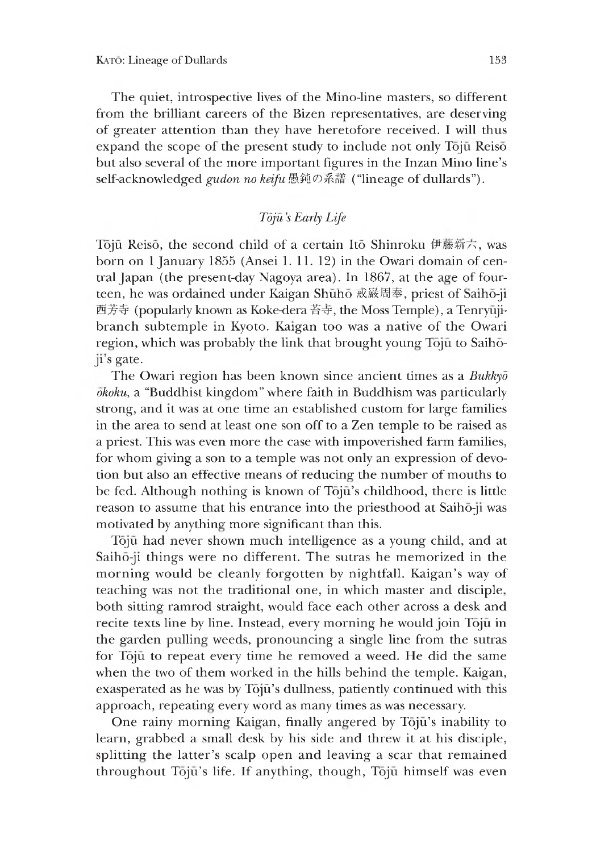The quiet, introspective lives of the Mino-line masters, so different from the brilliant careers of the Bizen representatives, are deserving of greater attention than they have heretofore received. I will thus expand the scope of the present study to include not only Tōjū Reisō but also several of the more important figures in the Inzan Mino line's self-acknowledged *gudon no keifu* 愚鈍の系譜("lineage of dullards").

### *Toju,s Early Life*

Tōjū Reisō, the second child of a certain Itō Shinroku 伊藤新六, was born on 1 January 1855 (Ansei 1.11.12) in the Owari domain of central Japan (the present-day Nagoya area). In 1867, at the age of fourteen, he was ordained under Kaigan Shūhō 戒嚴周奉, priest of Saihō-ji 西芳寺(popularly known as Koke-dera 苔守,the Moss Temple), a Tenryujibranch subtemple in Kyoto. Kaigan too was a native of the Owari region, which was probably the link that brought young Toju to Saihoji s gate.

The Owari region has been known since ancient times as a *Bukkyd okoku,* a "Buddhist kingdom" where faith in Buddhism was particularly strong, and it was at one time an established custom for large families in the area to send at least one son off to a Zen temple to be raised as a priest. This was even more the case with impoverished farm families, for whom giving a son to a temple was not only an expression of devotion but also an effective means of reducing the number of mouths to be fed. Although nothing is known of Tōjū's childhood, there is little reason to assume that his entrance into the priesthood at Saiho-ji was motivated by anything more significant than this.

Tōjū had never shown much intelligence as a young child, and at Saiho-ji things were no different. The sutras he memorized in the morning would be cleanly forgotten by nightfall. Kaigan's way of teaching was not the traditional one, in which master and disciple, both sitting ramrod straight, would face each other across a desk and recite texts line by line. Instead, every morning he would join Toju in the garden pulling weeds, pronouncing a single line from the sutras for Toju to repeat every time he removed a weed. He did the same when the two of them worked in the hills behind the temple. Kaigan, exasperated as he was by Tojū's dullness, patiently continued with this approach, repeating every word as many times as was necessary.

One rainy morning Kaigan, finally angered by Tōjū's inability to learn, grabbed a small desk by his side and threw it at his disciple, splitting the latter's scalp open and leaving a scar that remained throughout Tōjū's life. If anything, though, Tōjū himself was even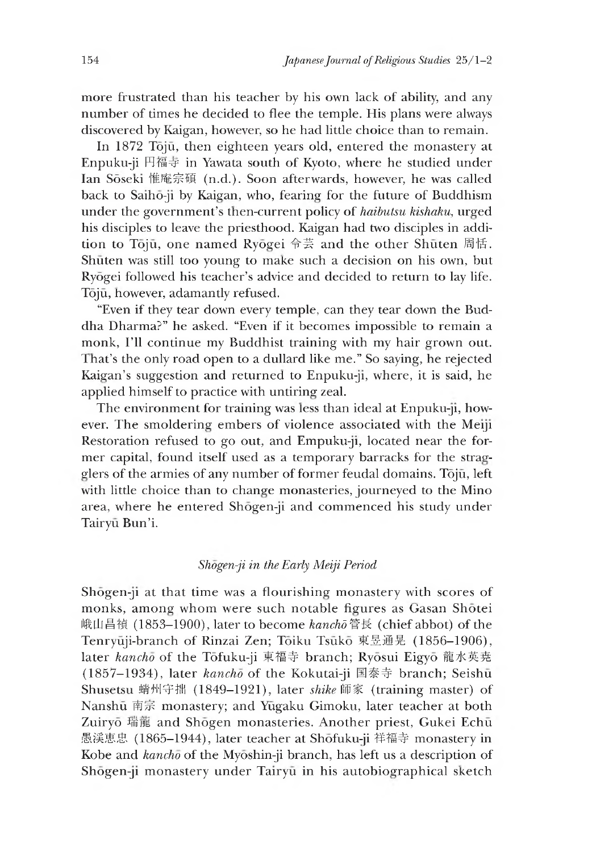more frustrated than his teacher by his own lack of ability, and any number of times he decided to flee the temple. His plans were always discovered by Kaigan, however, so he had little choice than to remain.

In 1872 Tōjū, then eighteen years old, entered the monastery at Enpuku-ji 円福守 in Yawata south of Kyoto, where he studied under Ian Soseki 惟庵宗碩 (n.d.). Soon afterwards, however, he was called back to Saihō-ji by Kaigan, who, fearing for the future of Buddhism under the government's then-current policy of *haibutsu kishaku,* urged his disciples to leave the priesthood. Kaigan had two disciples in addition to Tōjū, one named Ryōgei 令芸 and the other Shūten 周恬. Shuten was still too young to make such a decision on his own, but Ryogei followed his teacher's advice and decided to return to lay life. Tōjū, however, adamantly refused.

"Even if they tear down every temple, can they tear down the Buddha Dharma?" he asked. "Even if it becomes impossible to remain a monk, I'll continue my Buddhist training with my hair grown out. 1 hat's the only road open to a dullard like me." So saying, he rejected Kaigan's suggestion and returned to Enpuku-ji, where, it is said, he applied himself to practice with untiring zeal.

The environment for training was less than ideal at Enpuku-ji, however. The smoldering embers of violence associated with the Meiji Restoration refused to go out, and Empuku-ji, located near the former capital, found itself used as a temporary barracks for the stragglers of the armies of any number of former feudal domains. Tojū, left with little choice than to change monasteries, journeyed to the Mino area, where he entered Shōgen-ji and commenced his study under Tairyū Bun'i.

#### *Shogen-ji in the Early Meiji Period*

Shogen-ji at that time was a flourishing monastery with scores of monks, among whom were such notable figures as Gasan Shotei 峨山昌禎 (1853-1900), later to become *kancho* 管長 (chief abbot) of the Tenryūji-branch of Rinzai Zen; Tōiku Tsūkō 東昱通晃 (1856-1906), later *kancho* of the Tofuku-ji 東福寺 branch; Ryosui Eigyo 龍水英尭 (1857-1934), later *kancho* of the Kokutai-ji 国泰寺 branch; Seishū Shusetsu 蜻州守拙 (1849-1921), later shike 師家 (training master) of Nanshū 南宗 monastery; and Yūgaku Gimoku, later teacher at both Zuiryō 瑞龍 and Shōgen monasteries. Another priest, Gukei Echū 愚渓恵忠 (1865-1944), later teacher at Shōfuku-ji 祥福寺 monastery in Kobe and *kancho* of the Myoshin-ji branch, has left us a description of Shōgen-ji monastery under Tairyū in his autobiographical sketch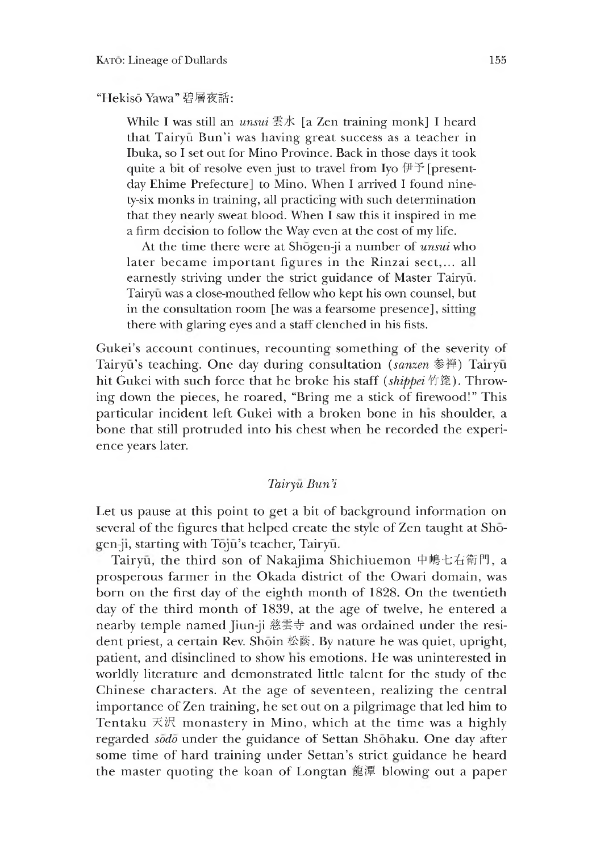#### "Hekis6 Yawa" 碧層夜話:

While I was still an *unsui* 雲水 [a Zen training monk] I heard that Tairyū Bun'i was having great success as a teacher in Ibuka, so I set out for Mino Province. Back in those days it took quite a bit of resolve even just to travel from Iyo  $\sharp\bar{\uparrow}$  [presentday Ehime Prefecture] to Mino. When I arrived I found ninety-six monks in training, all practicing with such determination that they nearly sweat blood. When I saw this it inspired in me a firm decision to follow the Way even at the cost of my life.

At the time there were at Shogen-ji a number of *unsui* who later became important figures in the Rinzai sect,... all earnestly striving under the strict guidance of Master Tairyu. Tairyu was a close-mouthed fellow who kept his own counsel, but in the consultation room [he was a fearsome presence], sitting there with glaring eyes and a staff clenched in his fists.

Gukei's account continues, recounting something of the severity of Tairyū's teaching. One day during consultation *(sanzen* 参禅) Tairyū hit Gukei with such force that he broke his staff *(shippei* 竹鹿). Throwing down the pieces, he roared, "Bring me a stick of firewood!" This particular incident left Gukei with a broken bone in his shoulder, a bone that still protruded into his chest when he recorded the experience years later.

#### *Tairyu Bun,i*

Let us pause at this point to get a bit of background information on several of the figures that helped create the style of Zen taught at Shogen-ji, starting with Tōjū's teacher, Tairyū.

Tairyū, the third son of Nakajima Shichiuemon 中嶋七右衛門, a prosperous farmer in the Okada district of the Owari domain, was born on the first day of the eighth month of 1828. On the twentieth day of the third month of 1839, at the age of twelve, he entered a nearby temple named Jiun-ji 慈雲寺 and was ordained under the resident priest, a certain Rev. Shōin 松蔭. By nature he was quiet, upright, patient, and disinclined to show ms emotions. He was uninterested in worldly literature and demonstrated little talent for the study of the Chinese characters. At the age of seventeen, realizing the central importance of Zen training, he set out on a pilgrimage that led him to Tentaku 天沢 monastery in Mino, which at the time was a highly regarded *sodo* under the guidance of Settan Shohaku. One day after some time of hard training under Settan's strict guidance he heard the master quoting the koan of Longtan 龍潭 blowing out a paper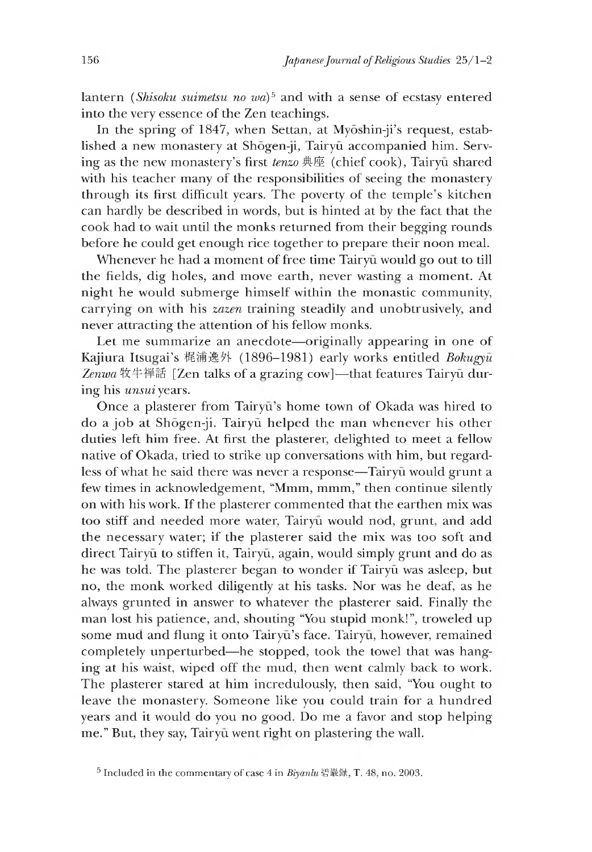lantern *(Shisoku suimetsu no wa)5* and with a sense of ecstasy entered into the very essence of the Zen teachings.

In the spring of 1847, when Settan, at Myōshin-ji's request, established a new monastery at Shogen-ji, fairyu accompanied him. Serving as the new monastery's first *tenzo* 典座 (chief cook), Tairyu shared with his teacher many of the responsibilities of seeing the monastery through its first difficult years. The poverty of the temple's kitchen can hardly be described in words, but is hinted at by the fact that the cook had to wait until the monks returned from their begging rounds before he could get enough rice together to prepare their noon meal.

Whenever he had a moment of free time Tairyū would go out to till the fields, dig holes, and move earth, never wasting a moment. At nieht he would submerge himself within the monastic community, carrying on with his *zazen* training steadily and unobtrusively, and never attracting the attention of his fellow monks.

Let me summarize an anecdote—originally appearing in one of Kajiura Itsugai's 梶浦逸外 (1896-1981) early works entitled *Bokugyū* Zenwa 牧牛禅話 [Zen talks of a grazing cow]—that features Tairyū during his *unsui* years.

Once a plasterer from Tairyū's home town of Okada was hired to do a job at Shogen-ji. Tairyu helped the man whenever his other duties left him free. At first the plasterer, delighted to meet a fellow native of Okada, tried to strike up conversations with him, but regardless of what he said there was never a response—Tairyū would grunt a few times in acknowledgement, "Mmm, mmm," then continue silently on with his work. If the plasterer commented that the earthen mix was too stiff and needed more water, Tairyu would nod, grunt, and add the necessary water; if the plasterer said the mix was too soft and direct Tairyū to stiffen it, Tairyū, again, would simply grunt and do as he was told. The plasterer began to wonder if Tairyū was asleep, but no, the monk worked diligently at his tasks. Nor was he deaf, as he always grunted in answer to whatever the plasterer said. Finally the man lost his patience, and, shouting "You stupid monk!", troweled up some mud and flung it onto Tairyū's face. Tairyū, however, remained completely unperturbed—he stopped, took the towel that was hanging at his waist, wiped off the mud, then went calmly back to work. The plasterer stared at him incredulously, then said, "You ought to leave the monastery. Someone like you could train for a hundred years and it would do you no good. Do me a favor and stop helping me." But, they say, Tairyū went right on plastering the wall.

<sup>5</sup> Included in the commentary of case 4 in *Biyanlu* 碧巌録,T. 48, no. 2003.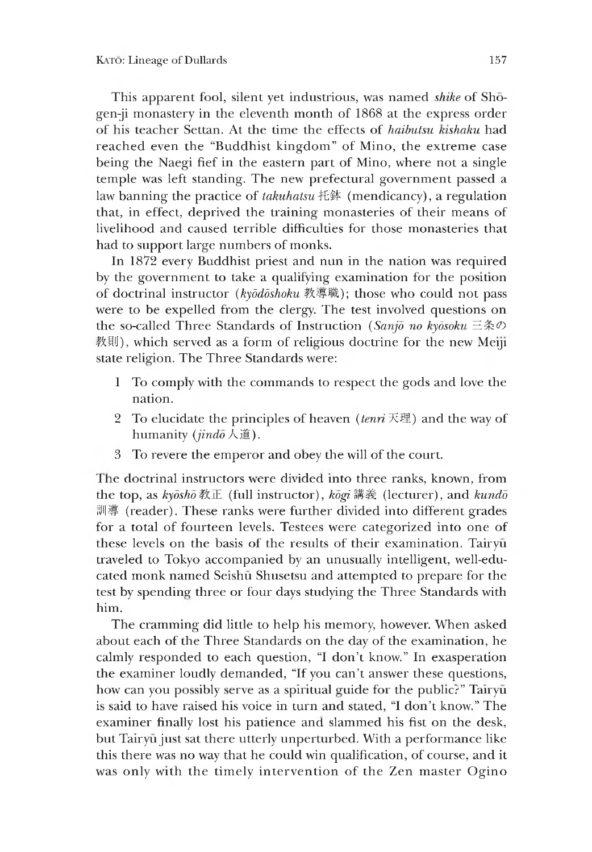This apparent fool, silent yet industrious, was named *shike* of Shogen-ji monastery in the eleventh month of 1868 at the express order of his teacher Settan. At the time the effects of *haibutsu kishaku* had reached even the "Buddhist kingdom" of Mino, the extreme case being the Naegi fief in the eastern part of Mino, where not a single temple was left standing. The new prefectural government passed a law banning the practice of *takuhatsu* 托鉢 (mendicancy), a regulation that, in effect, deprived the training monasteries of their means of livelihood and caused terrible difficulties for those monasteries that had to support large numbers of monks.

In 1872 every Buddhist priest and nun in the nation was required by the government to take a qualifying examination for the position of doctrinal instructor (kyōdōshoku 教導職); those who could not pass were to be expelled from the clergy. The test involved questions on the so-called Three Standards of Instruction (*Sanjo no kyosoku* 三条の 教則), which served as a form of religious doctrine for the new Meiji state religion. The Three Standards were:

- 1 To comply with the commands to respect the gods and love the nation.
- 2 To elucidate the principles of heaven  $(tenri \times \mathbb{H})$  and the way of humanity *{jindo* 人道).
- 3 To revere the emperor and obey the will of the court.

The doctrinal instructors were divided into three ranks, known, from the top, as  $ky\bar{o}s\bar{h}\bar{o}$  教正 (full instructor),  $k\bar{o}gi$  講義 (lecturer), and  $kund\bar{o}$ 訓導 (reader). These ranks were further divided into different grades for a total of fourteen levels. Testees were categorized into one of these levels on the basis of the results of their examination. Tairyu traveled to Tokyo accompanied by an unusually intelligent, well-educated monk named Seishu Shusetsu and attempted to prepare for the test by spending three or four days studying the Three Standards with him.

The cramming did little to help his memory, however. When asked about each of the Three Standards on the day of the examination, he calmly responded to each question, "I don't know." In exasperation the examiner loudly demanded, "If you can't answer these questions, how can you possibly serve as a spiritual guide for the public?" Tairyu is said to have raised his voice in turn and stated, "I don't know." The examiner finally lost his patience and slammed his fist on the desk, but Tairyū just sat there utterly unperturbed. With a performance like this there was no way that he could win qualification, of course, and it was only with the timely intervention of the Zen master Ogino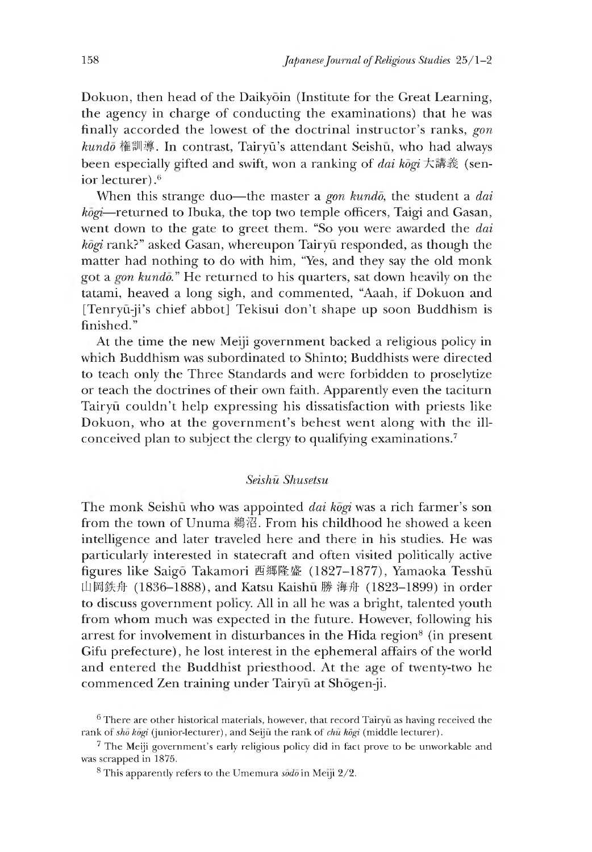Dokuon, then head of the Daikyoin (Institute for the Great Learning, the agency in charge of conducting the examinations) that he was finally accorded the lowest of the doctrinal instructor's ranks, *gon*  $kund\bar{o}$  権訓導. In contrast, Tairyū's attendant Seishū, who had always been especially gifted and swift, won a ranking of *dai kogi* 大講義 (senior lecturer).<sup>6</sup>

When this strange duo—the master a *gon kundo,* the student a *dai kōgi*—returned to Ibuka, the top two temple officers, Taigi and Gasan, went down to the gate to greet them. "So you were awarded the *dai kogi* rank?" asked Gasan, whereupon Tairyu responded, as though the matter had nothing to do with him, "Yes, and they say the old monk got a *gon kundo*." He returned to his quarters, sat down heavily on the tatami, heaved a long sigh, and commented, "Aaah, if Dokuon and [Tenryū-ji's chief abbot] Tekisui don't shape up soon Buddhism is finished."

At the time the new Meiji government backed a religious policy in which Buddhism was subordinated to Shinto; Buddhists were directed to teach only the Three Standards and were forbidden to proselytize or teach the doctrines of their own faith. Apparently even the taciturn Tairyu couldn't help expressing his dissatisfaction with priests like Dokuon, who at the government's behest went along with the illconceived plan to subject the clergy to qualifying examinations.7

#### *Seishu Shusetsu*

The monk Seishū who was appointed *dai kogi* was a rich farmer's son from the town of Unuma 鵜沼. From his childhood he showed a keen intelligence and later traveled here and there in his studies. He was particularly interested in statecraft and often visited politically active figures like Saigō Takamori 西郷隆盛 (1827-1877), Yamaoka Tesshū 山岡鉄舟 (1836-1888), and Katsu Kaishu 勝 海舟 (1823-1899) in order to discuss government policy. All in all ne was a bright, talented youth from whom much was expected in the future. However, following his arrest for involvement in disturbances in the Hida region<sup>8</sup> (in present Gifu prefecture), he lost interest in the ephemeral affairs of the world and entered the Buddhist priesthood. At the age of twenty-two he commenced Zen training under Tairyū at Shōgen-ji.

 $6$  There are other historical materials, however, that record Tairyu as having received the rank of *sho kogi* (junior-lecturer), and Seiju the rank of *chu kogi* (middle lecturer).

<sup>7</sup> The Meiji government's early religious policy did in fact prove to be unworkable and was scrapped in 1875.

<sup>8</sup> This apparently refers to the Umemura *sodo* in Meiji 2/2.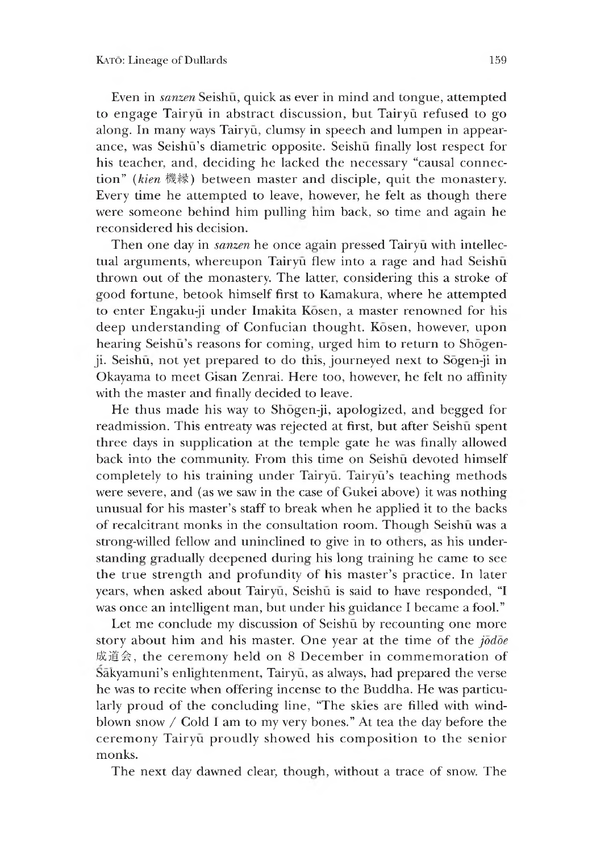Even in *sanzen* Seishu, quick as ever in mind and tongue, attempted to engage Tairyu in abstract discussion, but Tairyu refused to go along. In many ways Tairyū, clumsy in speech and lumpen in appearance, was Seishū's diametric opposite. Seishū finally lost respect for his teacher, and, deciding he lacked the necessary "causal connection" (kien 機縁) between master and disciple, quit the monastery. Every time he attempted to leave, however, he felt as though there were someone behind him pulling him back, so time and again he reconsidered his decision.

Then one day in *sanzen* he once again pressed Tairyū with intellectual arguments, whereupon Tairyū flew into a rage and had Seishū thrown out of the monastery. The latter, considering this a stroke of good fortune, betook himself first to Kamakura, where he attempted to enter Engaku-ji under ImaKita Kosen, a master renowned for his deep understanding of Confucian thought. Kosen, however, upon hearing Seishū's reasons for coming, urged him to return to Shōgenji. Seishū, not yet prepared to do this, journeyed next to Sōgen-ji in Okayama to meet Gisan Zenrai. Here too, however, he felt no affinity with the master and finally decided to leave.

He thus made his way to Shogen-ji, apologized, and begged for readmission. This entreaty was rejected at first, but after Seishū spent three days in supplication at the temple gate he was finally allowed back into the community. From this time on Seishu devoted himself completely to his training under Tairyū. Tairyū's teaching methods were severe, and (as we saw in the case of Gukei above) it was nothing unusual for his master's staff to break when he applied it to the backs of recalcitrant monks in the consultation room. Thoueh Seishu was a strong-willed fellow and uninclined to give in to others, as his understanding gradually deepened durine his long training he came to see the true strength and profundity of his master's practice. In later years, when asked about Tairyū, Seishū is said to have responded, "I was once an intelligent man, but under his guidance I became a fool."

Let me conclude my discussion of Seishū by recounting one more story about him and his master. One year at the time of the *jodoe* 成道会, the ceremony held on 8 December in commemoration of Śākyamuni's enlightenment, Tairyū, as always, had prepared the verse he was to recite when offering incense to the Buddha. He was particularly proud of the concluding line, "The skies are filled with windblown snow / Cold I am to my very bones." At tea the day before the ceremony Tairyu proudly showed his composition to the senior monks.

The next day dawned clear, though, without a trace of snow. The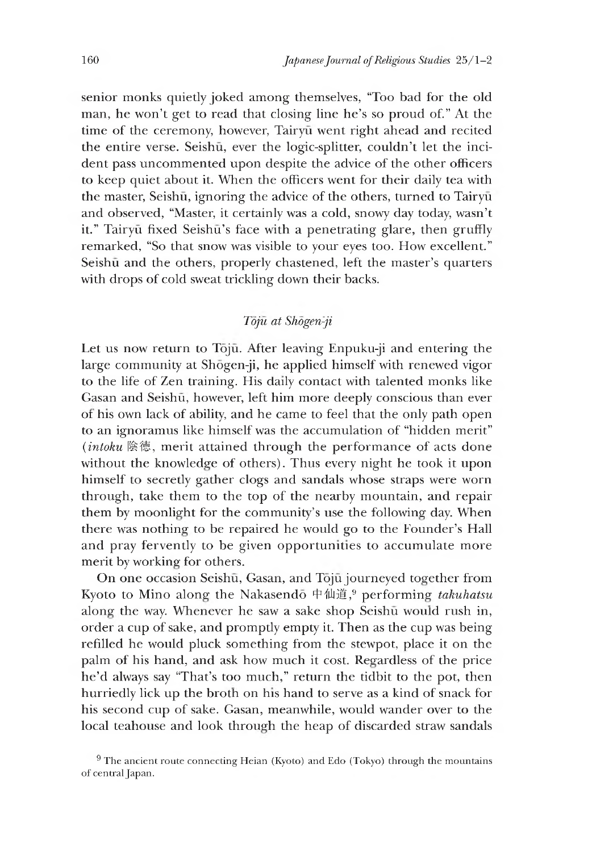senior monks quietly joked among themselves, "Too bad for the old man, he won't get to read that closing line he's so proud of." At the time of the ceremony, however, Tairyū went right ahead and recited the entire verse. Seishū, ever the logic-splitter, couldn't let the incident pass uncommented upon despite the advice of the other officers to keep quiet about it. When the officers went for their daily tea with the master, Seishū, ignoring the advice of the others, turned to Tairyū and observed, "Master, it certainly was a cold, snowy day today, wasn't it." Tairyū fixed Seishū's face with a penetrating glare, then gruffly remarked, "So that snow was visible to your eyes too. How excellent." Seishū and the others, properly chastened, left the master's quarters with drops of cold sweat trickling down their backs.

## *Toju at Shogen-ji*

Let us now return to Tōjū. After leaving Enpuku-ji and entering the large community at Shogen-ji, he applied himself with renewed vigor to the life of Zen training. His daily contact with talented monks like Gasan and Seishū, however, left him more deeply conscious than ever or his own lack of ability, and he came to feel that the only path open to an ignoramus like himself was the accumulation of "hidden merit" *(intoku 陰徳*,merit attained through the performance of acts done without the knowledge of others). Thus every night he took it upon himself to secretly gather clogs and sandals whose straps were worn through, take them to the top of the nearby mountain, and repair them by moonlight for the community's use the following day. When there was nothing to be repaired he would go to the Founder's Hall and pray fervently to be given opportunities to accumulate more merit by working for others.

On one occasion Seishu, Gasan, and Toju journeyed together from Kyoto to Mino along the Nakasendo 中仙道,9 performing' *takuhatsu* along the way. Whenever he saw a sake shop Seishū would rush in, order a cup of sake, and promptly empty it. Then as the cup was being refilled he would pluck something from the stewpot, place it on the palm of his hand, and ask how much it cost. Regardless of the price he'd always say "That's too much," return the tidbit to the pot, then hurriedly lick up the broth on his hand to serve as a kind of snack for his second cup of sake. Gasan, meanwhile, would wander over to the local teahouse and look through the heap of discarded straw sandals

 $9$  The ancient route connecting Heian (Kyoto) and Edo (Tokyo) through the mountains of central Japan.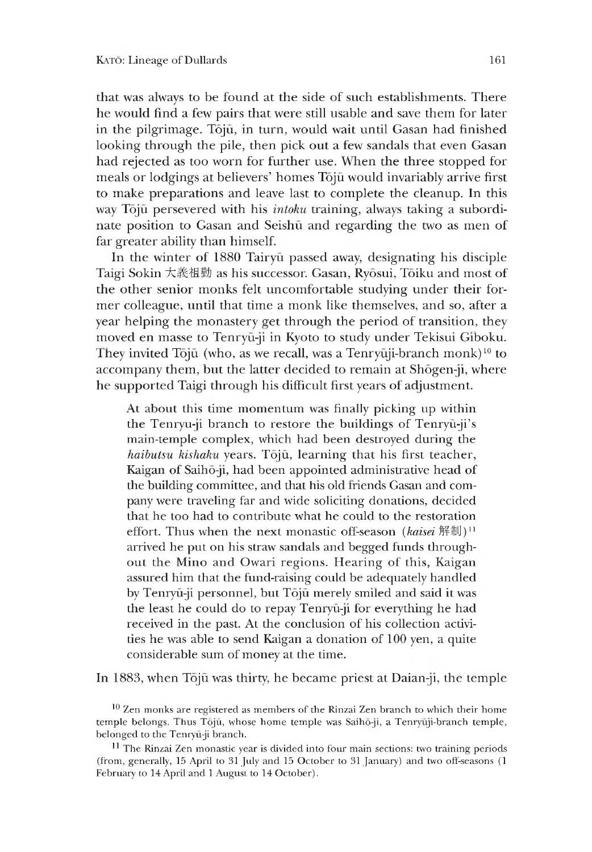that was always to be found at the side of such establishments. There he would find a few pairs that were still usable and save them for later in the pilgrimage. Tojū, in turn, would wait until Gasan had finished looking through the pile, then pick out a few sandals that even Gasan had rejected as too worn for further use. When the three stopped for meals or lodgings at believers' homes Tōjū would invariably arrive first to make preparations and leave last to complete the cleanup. In this way Tōjū persevered with his *intoku* training, always taking a subordinate position to Gasan and Seishū and regarding the two as men of far greater ability than himself.

In the winter of 1880 Tairyu passed away, designating his disciple Taigi Sokin 大義祖勤 as his successor. Gasan, Ryosui, Toiku and most of the other senior monks felt uncomfortable studying under their former colleague, until that time a monk like themselves, and so, after a year helping the monastery get through the period of transition, they moved en masse to Tenryu-ji m Kyoto to study under Tekisui Giboku. They invited Tōjū (who, as we recall, was a Tenryūji-branch monk)<sup>10</sup> to accompany them, but the latter decided to remain at Shogen-ji, where he supported Taigi through his difficult first years of adjustment.

At about this time momentum was finally picking up within the Tenryu-ji branch to restore the buildings of Tenryū-ji's main-temple complex, which had been destroyed during the *haibutsu kishaku* years. Toju, learning that his first teacher, Kaigan of Saihō-ji, had been appointed administrative head of the building committee, and that his old friends Gasan and company were traveling far and wide soliciting donations, decided that he too had to contribute what he could to the restoration effort. Thus when the next monastic off-season *(kaisei* 解制)<sup>11</sup> arrived he put on his straw sandals and begged funds throughout the Mino and Owari regions. Hearing of this, Kaigan assured him that the fund-raising could be adequately handled by Tenryu-ji personnel, but Toju merely smiled and said it was the least he could do to repay Tenryū-ji for everything he had received in the past. At the conclusion of his collection activities he was able to send Kaigan a donation of 100 yen, a quite considerable sum of money at the time.

In 1883, when Tōjū was thirty, he became priest at Daian-ji, the temple

<sup>10</sup> Zen monks are registered as members of the Rinzai Zen branch to which their home temple belongs. Ihus Toju, whose home temple was Saiho-ji, a Tenryuji-branch temple, belonged to the Tenryu-ji branch.

<sup>&</sup>lt;sup>11</sup> The Rinzai Zen monastic year is divided into four main sections: two training periods (from, generally,15 April to 31 July and 15 October to 31 January) and two off-seasons (1 February to 14 April and 1 August to 14 October).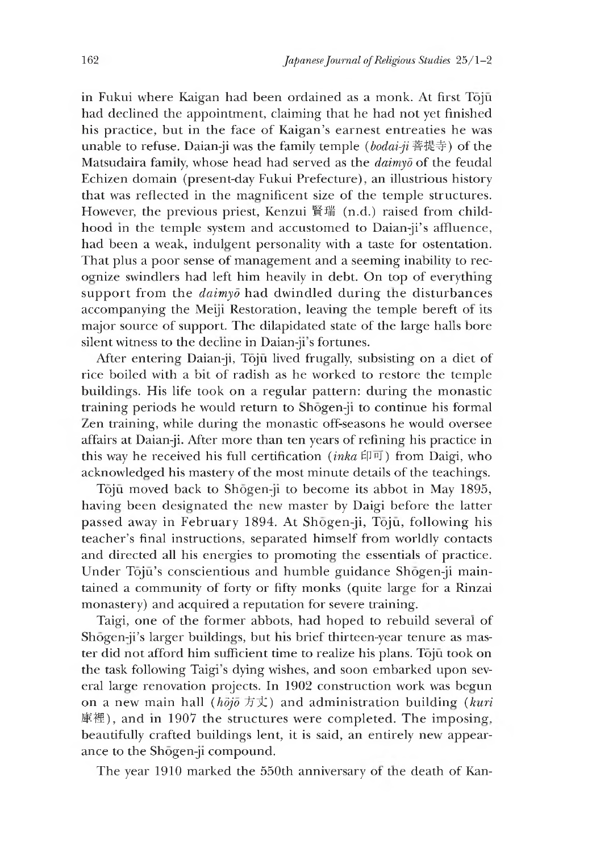in Fukui where Kaigan had been ordained as a monk. At first Toju had declined the appointment, claiming that he had not yet finished his practice, but in the face of Kaigan's earnest entreaties he was unable to refuse. Daian-ji was the family temple (*bodai-ji* 菩提寺)of the Matsudaira family, whose head had served as the *daimyd* of the feudal Echizen domain (present-day Fukui Prefecture), an illustrious history that was reflected in the magnificent size of the temple structures. However, the previous priest, Kenzui 賢瑞 (n.d.) raised from childhood in the temple system and accustomed to Daian-ji's affluence, had been a weak, indulgent personality with a taste for ostentation. That plus a poor sense of management and a seeming inability to recognize swindlers had left him heavily in debt. On top of everything support from the *daimyd* had dwindled during the disturbances accompanying the Meiji Restoration, leaving the temple bereft of its major source of support. The dilapidated state of the large halls bore silent witness to the decline in Daian-ji's fortunes.

After entering Daian-ji, Tōjū lived frugally, subsisting on a diet of rice boiled with a bit of radish as he worked to restore the temple buildings. His life took on a regular pattern: during the monastic training periods he would return to Shogen-ji to continue his formal Zen training, while during the monastic off-seasons he would oversee affairs at Daian-ji. After more than ten years of refining his practice in this way he received his full certification *(inka*印可) from Daigi, who acknowledged his mastery of the most minute details of the teachings.

Toju moved back to Shogen-ji to become its abbot in May 1895, having been designated the new master by Daigi before the latter passed away in February 1894. At Shogen-ji, Toju, following his teacher's final instructions, separated himself from worldly contacts and directed all his energies to promoting the essentials of practice. Under Tōjū's conscientious and humble guidance Shōgen-ji maintained a community of forty or fifty monks (quite large for a Rinzai monastery) and acquired a reputation for severe training.

Taigi, one of the former abbots, had hoped to rebuild several of Shōgen-ji's larger buildings, but his brief thirteen-year tenure as master did not afford him sufficient time to realize his plans. Tojū took on the task following Taigi's dying wishes, and soon embarked upon several large renovation projects. In 1902 construction work was begun on a new main hall *(hojo* 方丈) and administration building *(kuri*) 庫裡), and in 1907 the structures were completed. The imposing, beautifully crafted buildings lent, it is said, an entirely new appearance to the Shogen-ji compound.

The year 1910 marked the 550th anniversary of the death of Kan-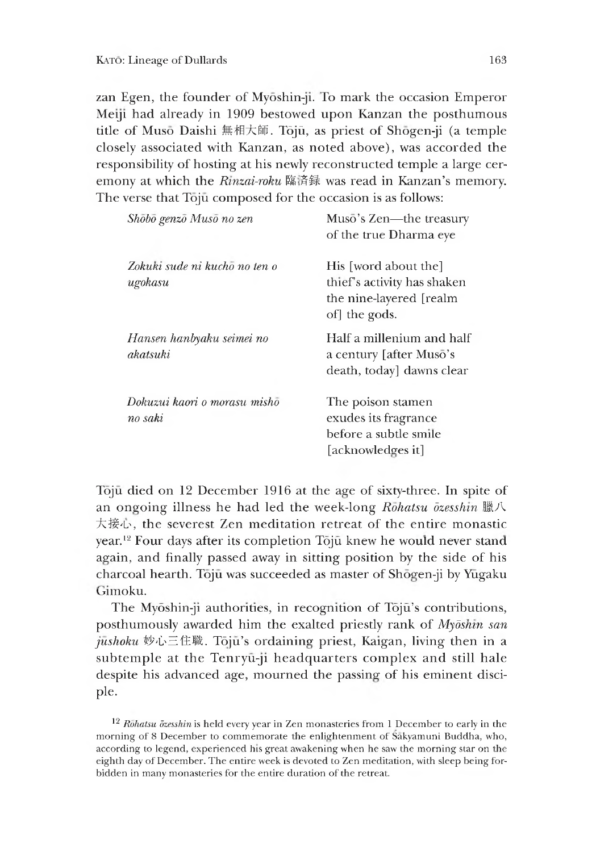zan Egen, the founder of Myōshin-ji. To mark the occasion Emperor Meiji had already in 1909 bestowed upon Kanzan the posthumous title of Musō Daishi 無相大師. Tōjū, as priest of Shōgen-ji (a temple closely associated with Kanzan, as noted above), was accorded the responsibility of hosting at his newly reconstructed temple a large ceremony at which the *Rinzai-roku* 臨済録 was read in Kanzan's memory. The verse that Tojū composed for the occasion is as follows:

| Shōbō genzō Musō no zen                  | Musō's Zen—the treasury<br>of the true Dharma eye                                               |
|------------------------------------------|-------------------------------------------------------------------------------------------------|
| Zokuki sude ni kucho no ten o<br>ugokasu | His [word about the]<br>thief's activity has shaken<br>the nine-layered [realm<br>of] the gods. |
| Hansen hanbyaku seimei no<br>akatsuki    | Half a millenium and half<br>a century [after Musō's<br>death, today] dawns clear               |
| Dokuzui kaori o morasu mishō<br>no saki  | The poison stamen<br>exudes its fragrance<br>before a subtle smile<br>[acknowledges it]         |

Tojū died on 12 December 1916 at the age of sixty-three. In spite of an ongoing illness he had led the week-long *Rohatsu ozesshin* 臘八 大接心, the severest Zen meditation retreat of the entire monastic year.12 Four days after its completion Toju knew he would never stand again, and finally passed away in sitting position by the side of his charcoal hearth. Tōjū was succeeded as master of Shōgen-ji by Yugaku Gimoku.

The Myōshin-ji authorities, in recognition of Tōjū's contributions, posthumously awarded him the exalted priestly rank of *Mydsnin san* jushoku 妙心三住職. Tōjū's ordaining priest, Kaigan, living then in a subtemple at the Tenryū-ji headquarters complex and still hale despite his advanced age, mourned the passing of his eminent disciple.

12 *Rohatsu dzesshin* is held every year in Zen monasteries from 1 December to early in the morning of 8 December to commemorate the enlightenment of Sakyamuni Buddha, who, according to legend, experienced his great awakening when he saw the morning star on the eighth day of December. The entire week is devoted to Zen meditation, with sleep being forbidden in many monasteries for the entire duration of the retreat.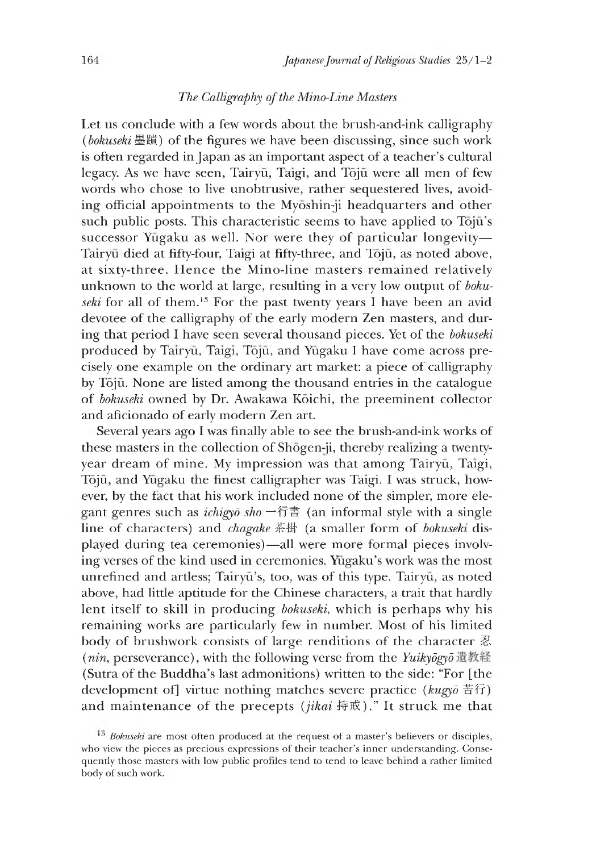#### *The Calligraphy of the Mino-Line Masters*

Let us conclude with a few words about the brush-and-ink calligraphy *(bokuseki* 墨蹟)of the figures we have been discussing, since such work is often regarded in Japan as an important aspect of a teacher's cultural legacy. As we have seen, Tairyū, Taigi, and Tōjū were all men of few words who chose to live unobtrusive, rather sequestered lives, avoiding official appointments to the Myoshin-ji headquarters and other such public posts. This characteristic seems to have applied to Tōjū's successor Yūgaku as well. Nor were they of particular longevity— Tairyū died at fifty-four, Taigi at fifty-three, and Tojū, as noted above, at sixty-three. Hence the Mino-line masters remained relatively unknown to the world at large, resulting in a very low output of *bokuseki* for all of them.13 For the past twenty years I have been an avid devotee of the calligraphy of the early modern Zen masters, and during that period I have seen several thousand pieces. Yet of the *bokuseki* produced by Tairyū, Taigi, Tōjū, and Yūgaku I have come across precisely one example on the ordinary art market: a piece of calligraphy by Tōjū. None are listed among the thousand entries in the catalogue of *bokuseki* owned by Dr. Awakawa Koichi, the preeminent collector and aficionado of early modern Zen art.

Several years ago I was finally able to see the brush-and-ink works of these masters in the collection of Shogen-ji, thereby realizing a twentyyear dream of mine. My impression was that among Tairyū, Taigi, Toju, and Yugaku the finest calligrapher was Taigi. I was struck, however, by the fact that his work included none of the simpler, more elegant genres such as *ichigyo* sho  $-\text{fim}$  (an informal style with a single line of characters) and *chagake* 茶掛 (a smaller form of *bokuseki* displayed during tea ceremonies)—all were more formal pieces involving verses of the kind used in ceremonies. Yugaku's work was the most unrefined and artless; Tairyū's, too, was of this type. Tairyū, as noted above, had little aptitude for the Chinese characters, a trait that hardly lent itself to skill in producing *bokuseki,* which is perhaps why his remaining works are particularly few in number. Most of his limited body of brushwork consists of large renditions of the character 忍 (*nin*, perseverance), with the following verse from the *Yuikyogyo* 遺教経 (Sutra of the Buddha's last admonitions) written to the side: "For [the development of] virtue nothing matches severe practice *(kugyd* 苦行) and maintenance of the precepts (*jikai* 持戒)." It struck me that

<sup>&</sup>lt;sup>13</sup> Bokuseki are most often produced at the request of a master's believers or disciples, who view the pieces as precious expressions of their teacher's inner understanding. Consequently those masters with low public profiles tend to tend to leave behind a rather limited body of such work.